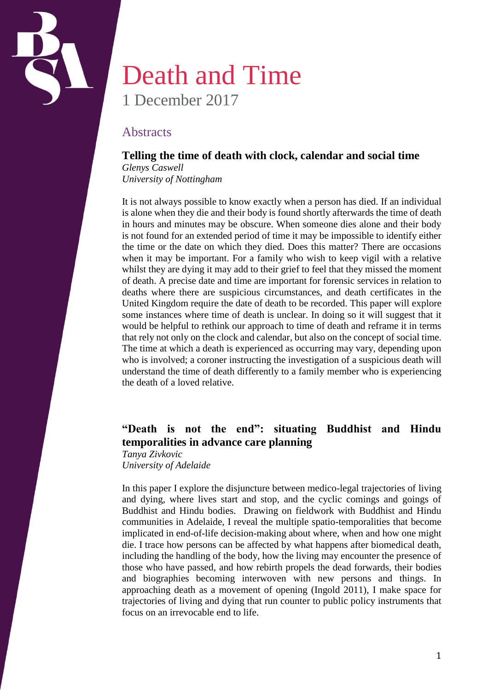

# Death and Time 1 December 2017

## **Abstracts**

### **Telling the time of death with clock, calendar and social time**

*Glenys Caswell University of Nottingham*

It is not always possible to know exactly when a person has died. If an individual is alone when they die and their body is found shortly afterwards the time of death in hours and minutes may be obscure. When someone dies alone and their body is not found for an extended period of time it may be impossible to identify either the time or the date on which they died. Does this matter? There are occasions when it may be important. For a family who wish to keep vigil with a relative whilst they are dying it may add to their grief to feel that they missed the moment of death. A precise date and time are important for forensic services in relation to deaths where there are suspicious circumstances, and death certificates in the United Kingdom require the date of death to be recorded. This paper will explore some instances where time of death is unclear. In doing so it will suggest that it would be helpful to rethink our approach to time of death and reframe it in terms that rely not only on the clock and calendar, but also on the concept of social time. The time at which a death is experienced as occurring may vary, depending upon who is involved; a coroner instructing the investigation of a suspicious death will understand the time of death differently to a family member who is experiencing the death of a loved relative.

# **"Death is not the end": situating Buddhist and Hindu temporalities in advance care planning**

*Tanya Zivkovic University of Adelaide*

In this paper I explore the disjuncture between medico-legal trajectories of living and dying, where lives start and stop, and the cyclic comings and goings of Buddhist and Hindu bodies. Drawing on fieldwork with Buddhist and Hindu communities in Adelaide, I reveal the multiple spatio-temporalities that become implicated in end-of-life decision-making about where, when and how one might die. I trace how persons can be affected by what happens after biomedical death, including the handling of the body, how the living may encounter the presence of those who have passed, and how rebirth propels the dead forwards, their bodies and biographies becoming interwoven with new persons and things. In approaching death as a movement of opening (Ingold 2011), I make space for trajectories of living and dying that run counter to public policy instruments that focus on an irrevocable end to life.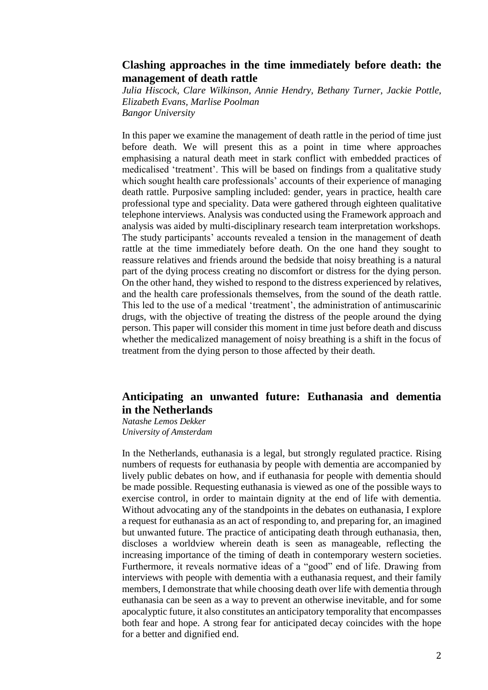### **Clashing approaches in the time immediately before death: the management of death rattle**

*Julia Hiscock, Clare Wilkinson, Annie Hendry, Bethany Turner, Jackie Pottle, Elizabeth Evans, Marlise Poolman Bangor University*

In this paper we examine the management of death rattle in the period of time just before death. We will present this as a point in time where approaches emphasising a natural death meet in stark conflict with embedded practices of medicalised 'treatment'. This will be based on findings from a qualitative study which sought health care professionals' accounts of their experience of managing death rattle. Purposive sampling included: gender, years in practice, health care professional type and speciality. Data were gathered through eighteen qualitative telephone interviews. Analysis was conducted using the Framework approach and analysis was aided by multi-disciplinary research team interpretation workshops. The study participants' accounts revealed a tension in the management of death rattle at the time immediately before death. On the one hand they sought to reassure relatives and friends around the bedside that noisy breathing is a natural part of the dying process creating no discomfort or distress for the dying person. On the other hand, they wished to respond to the distress experienced by relatives, and the health care professionals themselves, from the sound of the death rattle. This led to the use of a medical 'treatment', the administration of antimuscarinic drugs, with the objective of treating the distress of the people around the dying person. This paper will consider this moment in time just before death and discuss whether the medicalized management of noisy breathing is a shift in the focus of treatment from the dying person to those affected by their death.

### **Anticipating an unwanted future: Euthanasia and dementia in the Netherlands**

*Natashe Lemos Dekker University of Amsterdam*

In the Netherlands, euthanasia is a legal, but strongly regulated practice. Rising numbers of requests for euthanasia by people with dementia are accompanied by lively public debates on how, and if euthanasia for people with dementia should be made possible. Requesting euthanasia is viewed as one of the possible ways to exercise control, in order to maintain dignity at the end of life with dementia. Without advocating any of the standpoints in the debates on euthanasia, I explore a request for euthanasia as an act of responding to, and preparing for, an imagined but unwanted future. The practice of anticipating death through euthanasia, then, discloses a worldview wherein death is seen as manageable, reflecting the increasing importance of the timing of death in contemporary western societies. Furthermore, it reveals normative ideas of a "good" end of life. Drawing from interviews with people with dementia with a euthanasia request, and their family members, I demonstrate that while choosing death over life with dementia through euthanasia can be seen as a way to prevent an otherwise inevitable, and for some apocalyptic future, it also constitutes an anticipatory temporality that encompasses both fear and hope. A strong fear for anticipated decay coincides with the hope for a better and dignified end.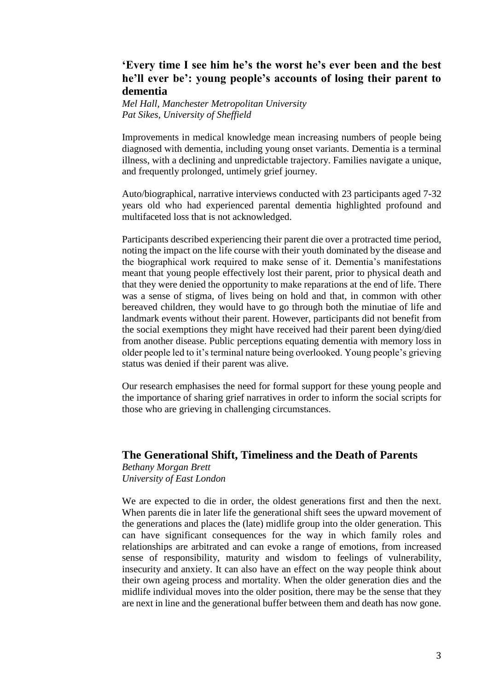## **'Every time I see him he's the worst he's ever been and the best he'll ever be': young people's accounts of losing their parent to dementia**

*Mel Hall, Manchester Metropolitan University Pat Sikes, University of Sheffield*

Improvements in medical knowledge mean increasing numbers of people being diagnosed with dementia, including young onset variants. Dementia is a terminal illness, with a declining and unpredictable trajectory. Families navigate a unique, and frequently prolonged, untimely grief journey.

Auto/biographical, narrative interviews conducted with 23 participants aged 7-32 years old who had experienced parental dementia highlighted profound and multifaceted loss that is not acknowledged.

Participants described experiencing their parent die over a protracted time period, noting the impact on the life course with their youth dominated by the disease and the biographical work required to make sense of it. Dementia's manifestations meant that young people effectively lost their parent, prior to physical death and that they were denied the opportunity to make reparations at the end of life. There was a sense of stigma, of lives being on hold and that, in common with other bereaved children, they would have to go through both the minutiae of life and landmark events without their parent. However, participants did not benefit from the social exemptions they might have received had their parent been dying/died from another disease. Public perceptions equating dementia with memory loss in older people led to it's terminal nature being overlooked. Young people's grieving status was denied if their parent was alive.

Our research emphasises the need for formal support for these young people and the importance of sharing grief narratives in order to inform the social scripts for those who are grieving in challenging circumstances.

#### **The Generational Shift, Timeliness and the Death of Parents**

*Bethany Morgan Brett University of East London*

We are expected to die in order, the oldest generations first and then the next. When parents die in later life the generational shift sees the upward movement of the generations and places the (late) midlife group into the older generation. This can have significant consequences for the way in which family roles and relationships are arbitrated and can evoke a range of emotions, from increased sense of responsibility, maturity and wisdom to feelings of vulnerability, insecurity and anxiety. It can also have an effect on the way people think about their own ageing process and mortality. When the older generation dies and the midlife individual moves into the older position, there may be the sense that they are next in line and the generational buffer between them and death has now gone.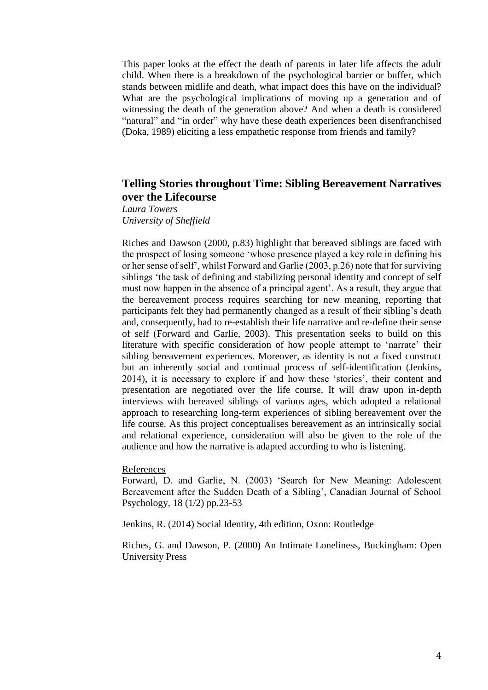This paper looks at the effect the death of parents in later life affects the adult child. When there is a breakdown of the psychological barrier or buffer, which stands between midlife and death, what impact does this have on the individual? What are the psychological implications of moving up a generation and of witnessing the death of the generation above? And when a death is considered "natural" and "in order" why have these death experiences been disenfranchised (Doka, 1989) eliciting a less empathetic response from friends and family?

## **Telling Stories throughout Time: Sibling Bereavement Narratives over the Lifecourse**

*Laura Towers University of Sheffield*

Riches and Dawson (2000, p.83) highlight that bereaved siblings are faced with the prospect of losing someone 'whose presence played a key role in defining his or her sense of self', whilst Forward and Garlie (2003, p.26) note that for surviving siblings 'the task of defining and stabilizing personal identity and concept of self must now happen in the absence of a principal agent'. As a result, they argue that the bereavement process requires searching for new meaning, reporting that participants felt they had permanently changed as a result of their sibling's death and, consequently, had to re-establish their life narrative and re-define their sense of self (Forward and Garlie, 2003). This presentation seeks to build on this literature with specific consideration of how people attempt to 'narrate' their sibling bereavement experiences. Moreover, as identity is not a fixed construct but an inherently social and continual process of self-identification (Jenkins, 2014), it is necessary to explore if and how these 'stories', their content and presentation are negotiated over the life course. It will draw upon in-depth interviews with bereaved siblings of various ages, which adopted a relational approach to researching long-term experiences of sibling bereavement over the life course. As this project conceptualises bereavement as an intrinsically social and relational experience, consideration will also be given to the role of the audience and how the narrative is adapted according to who is listening.

#### References

Forward, D. and Garlie, N. (2003) 'Search for New Meaning: Adolescent Bereavement after the Sudden Death of a Sibling', Canadian Journal of School Psychology, 18 (1/2) pp.23-53

Jenkins, R. (2014) Social Identity, 4th edition, Oxon: Routledge

Riches, G. and Dawson, P. (2000) An Intimate Loneliness, Buckingham: Open University Press